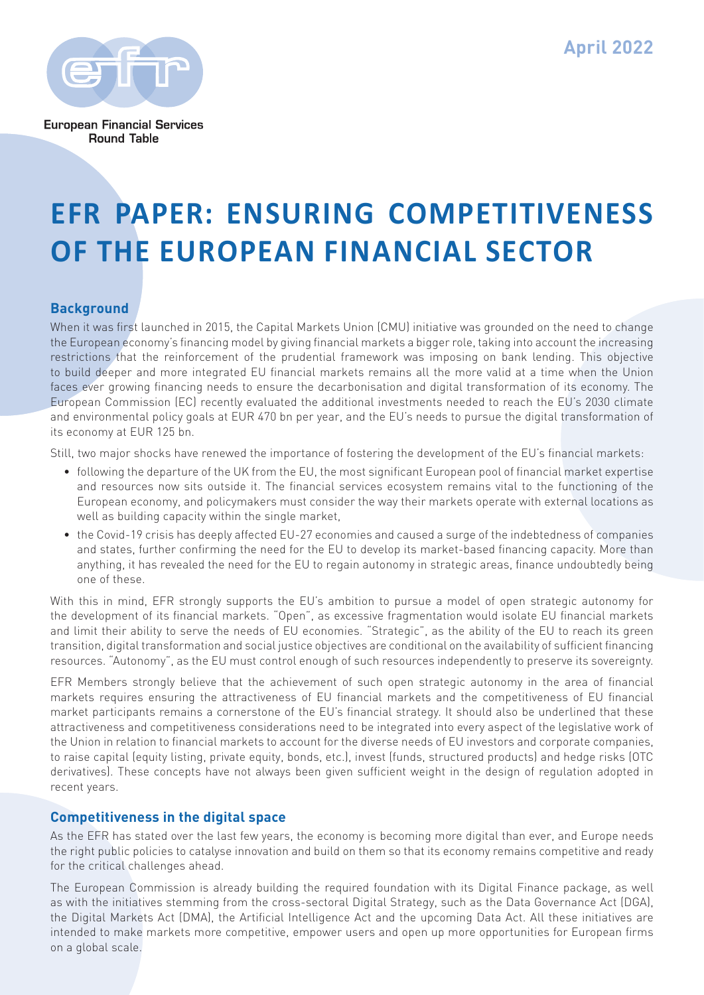**April 2022**



**European Financial Services Round Table** 

# **EFR PAPER: ENSURING COMPETITIVENESS OF THE EUROPEAN FINANCIAL SECTOR**

# **Background**

When it was first launched in 2015, the Capital Markets Union (CMU) initiative was grounded on the need to change the European economy's financing model by giving financial markets a bigger role, taking into account the increasing restrictions that the reinforcement of the prudential framework was imposing on bank lending. This objective to build deeper and more integrated EU financial markets remains all the more valid at a time when the Union faces ever growing financing needs to ensure the decarbonisation and digital transformation of its economy. The European Commission (EC) recently evaluated the additional investments needed to reach the EU's 2030 climate and environmental policy goals at EUR 470 bn per year, and the EU's needs to pursue the digital transformation of its economy at EUR 125 bn.

Still, two major shocks have renewed the importance of fostering the development of the EU's financial markets:

- following the departure of the UK from the EU, the most significant European pool of financial market expertise and resources now sits outside it. The financial services ecosystem remains vital to the functioning of the European economy, and policymakers must consider the way their markets operate with external locations as well as building capacity within the single market,
- the Covid-19 crisis has deeply affected EU-27 economies and caused a surge of the indebtedness of companies and states, further confirming the need for the EU to develop its market-based financing capacity. More than anything, it has revealed the need for the EU to regain autonomy in strategic areas, finance undoubtedly being one of these.

With this in mind, EFR strongly supports the EU's ambition to pursue a model of open strategic autonomy for the development of its financial markets. "Open", as excessive fragmentation would isolate EU financial markets and limit their ability to serve the needs of EU economies. "Strategic", as the ability of the EU to reach its green transition, digital transformation and social justice objectives are conditional on the availability of sufficient financing resources. "Autonomy", as the EU must control enough of such resources independently to preserve its sovereignty.

EFR Members strongly believe that the achievement of such open strategic autonomy in the area of financial markets requires ensuring the attractiveness of EU financial markets and the competitiveness of EU financial market participants remains a cornerstone of the EU's financial strategy. It should also be underlined that these attractiveness and competitiveness considerations need to be integrated into every aspect of the legislative work of the Union in relation to financial markets to account for the diverse needs of EU investors and corporate companies, to raise capital (equity listing, private equity, bonds, etc.), invest (funds, structured products) and hedge risks (OTC derivatives). These concepts have not always been given sufficient weight in the design of regulation adopted in recent years.

# **Competitiveness in the digital space**

As the EFR has stated over the last few years, the economy is becoming more digital than ever, and Europe needs the right public policies to catalyse innovation and build on them so that its economy remains competitive and ready for the critical challenges ahead.

The European Commission is already building the required foundation with its Digital Finance package, as well as with the initiatives stemming from the cross-sectoral Digital Strategy, such as the Data Governance Act (DGA), the Digital Markets Act (DMA), the Artificial Intelligence Act and the upcoming Data Act. All these initiatives are intended to make markets more competitive, empower users and open up more opportunities for European firms on a global scale.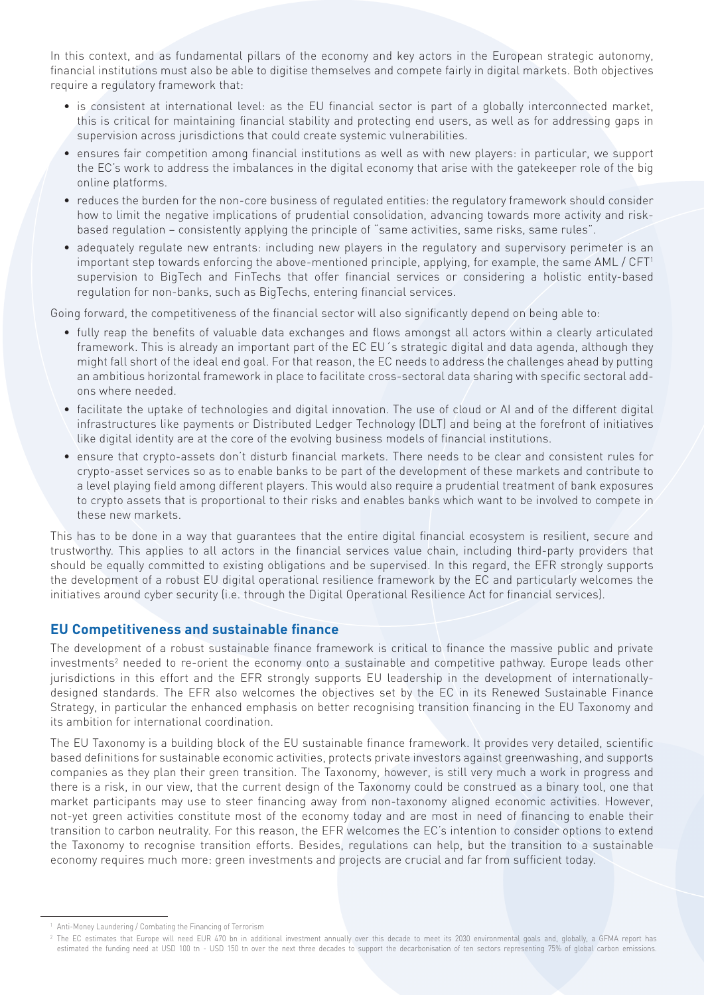In this context, and as fundamental pillars of the economy and key actors in the European strategic autonomy, financial institutions must also be able to digitise themselves and compete fairly in digital markets. Both objectives require a regulatory framework that:

- is consistent at international level: as the EU financial sector is part of a globally interconnected market, this is critical for maintaining financial stability and protecting end users, as well as for addressing gaps in supervision across jurisdictions that could create systemic vulnerabilities.
- ensures fair competition among financial institutions as well as with new players: in particular, we support the EC's work to address the imbalances in the digital economy that arise with the gatekeeper role of the big online platforms.
- reduces the burden for the non-core business of regulated entities: the regulatory framework should consider how to limit the negative implications of prudential consolidation, advancing towards more activity and riskbased regulation – consistently applying the principle of "same activities, same risks, same rules".
- adequately regulate new entrants: including new players in the regulatory and supervisory perimeter is an important step towards enforcing the above-mentioned principle, applying, for example, the same AML / CFT<sup>1</sup> supervision to BigTech and FinTechs that offer financial services or considering a holistic entity-based regulation for non-banks, such as BigTechs, entering financial services.

Going forward, the competitiveness of the financial sector will also significantly depend on being able to:

- fully reap the benefits of valuable data exchanges and flows amongst all actors within a clearly articulated framework. This is already an important part of the EC EU´s strategic digital and data agenda, although they might fall short of the ideal end goal. For that reason, the EC needs to address the challenges ahead by putting an ambitious horizontal framework in place to facilitate cross-sectoral data sharing with specific sectoral addons where needed.
- facilitate the uptake of technologies and digital innovation. The use of cloud or AI and of the different digital infrastructures like payments or Distributed Ledger Technology (DLT) and being at the forefront of initiatives like digital identity are at the core of the evolving business models of financial institutions.
- ensure that crypto-assets don't disturb financial markets. There needs to be clear and consistent rules for crypto-asset services so as to enable banks to be part of the development of these markets and contribute to a level playing field among different players. This would also require a prudential treatment of bank exposures to crypto assets that is proportional to their risks and enables banks which want to be involved to compete in these new markets.

This has to be done in a way that guarantees that the entire digital financial ecosystem is resilient, secure and trustworthy. This applies to all actors in the financial services value chain, including third-party providers that should be equally committed to existing obligations and be supervised. In this regard, the EFR strongly supports the development of a robust EU digital operational resilience framework by the EC and particularly welcomes the initiatives around cyber security (i.e. through the Digital Operational Resilience Act for financial services).

### **EU Competitiveness and sustainable finance**

The development of a robust sustainable finance framework is critical to finance the massive public and private investments<sup>2</sup> needed to re-orient the economy onto a sustainable and competitive pathway. Europe leads other jurisdictions in this effort and the EFR strongly supports EU leadership in the development of internationallydesigned standards. The EFR also welcomes the objectives set by the EC in its Renewed Sustainable Finance Strategy, in particular the enhanced emphasis on better recognising transition financing in the EU Taxonomy and its ambition for international coordination.

The EU Taxonomy is a building block of the EU sustainable finance framework. It provides very detailed, scientific based definitions for sustainable economic activities, protects private investors against greenwashing, and supports companies as they plan their green transition. The Taxonomy, however, is still very much a work in progress and there is a risk, in our view, that the current design of the Taxonomy could be construed as a binary tool, one that market participants may use to steer financing away from non-taxonomy aligned economic activities. However, not-yet green activities constitute most of the economy today and are most in need of financing to enable their transition to carbon neutrality. For this reason, the EFR welcomes the EC's intention to consider options to extend the Taxonomy to recognise transition efforts. Besides, regulations can help, but the transition to a sustainable economy requires much more: green investments and projects are crucial and far from sufficient today.

Anti-Money Laundering / Combating the Financing of Terrorism

<sup>&</sup>lt;sup>2</sup> The EC estimates that Europe will need EUR 470 bn in additional investment annually over this decade to meet its 2030 environmental goals and, globally, a GFMA report has estimated the funding need at USD 100 tn - USD 150 tn over the next three decades to support the decarbonisation of ten sectors representing 75% of global carbon emissions.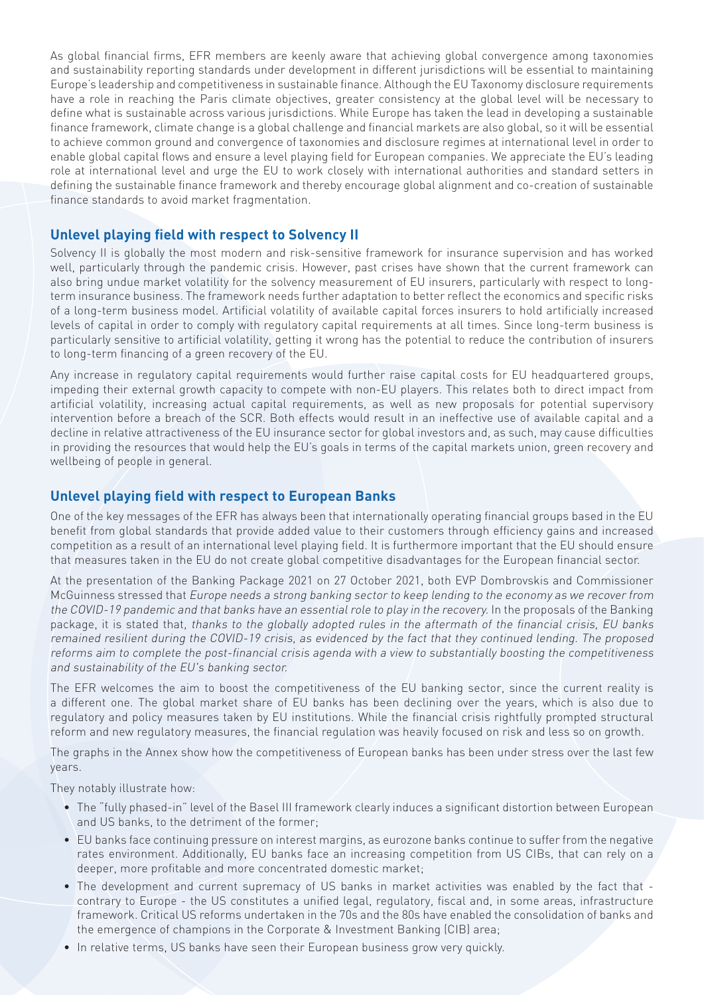As global financial firms, EFR members are keenly aware that achieving global convergence among taxonomies and sustainability reporting standards under development in different jurisdictions will be essential to maintaining Europe's leadership and competitiveness in sustainable finance. Although the EU Taxonomy disclosure requirements have a role in reaching the Paris climate objectives, greater consistency at the global level will be necessary to define what is sustainable across various jurisdictions. While Europe has taken the lead in developing a sustainable finance framework, climate change is a global challenge and financial markets are also global, so it will be essential to achieve common ground and convergence of taxonomies and disclosure regimes at international level in order to enable global capital flows and ensure a level playing field for European companies. We appreciate the EU's leading role at international level and urge the EU to work closely with international authorities and standard setters in defining the sustainable finance framework and thereby encourage global alignment and co-creation of sustainable finance standards to avoid market fragmentation.

## **Unlevel playing field with respect to Solvency II**

Solvency II is globally the most modern and risk-sensitive framework for insurance supervision and has worked well, particularly through the pandemic crisis. However, past crises have shown that the current framework can also bring undue market volatility for the solvency measurement of EU insurers, particularly with respect to longterm insurance business. The framework needs further adaptation to better reflect the economics and specific risks of a long-term business model. Artificial volatility of available capital forces insurers to hold artificially increased levels of capital in order to comply with regulatory capital requirements at all times. Since long-term business is particularly sensitive to artificial volatility, getting it wrong has the potential to reduce the contribution of insurers to long-term financing of a green recovery of the EU.

Any increase in regulatory capital requirements would further raise capital costs for EU headquartered groups, impeding their external growth capacity to compete with non-EU players. This relates both to direct impact from artificial volatility, increasing actual capital requirements, as well as new proposals for potential supervisory intervention before a breach of the SCR. Both effects would result in an ineffective use of available capital and a decline in relative attractiveness of the EU insurance sector for global investors and, as such, may cause difficulties in providing the resources that would help the EU's goals in terms of the capital markets union, green recovery and wellbeing of people in general.

# **Unlevel playing field with respect to European Banks**

One of the key messages of the EFR has always been that internationally operating financial groups based in the EU benefit from global standards that provide added value to their customers through efficiency gains and increased competition as a result of an international level playing field. It is furthermore important that the EU should ensure that measures taken in the EU do not create global competitive disadvantages for the European financial sector.

At the presentation of the Banking Package 2021 on 27 October 2021, both EVP Dombrovskis and Commissioner McGuinness stressed that Europe needs a strong banking sector to keep lending to the economy as we recover from the COVID-19 pandemic and that banks have an essential role to play in the recovery. In the proposals of the Banking package, it is stated that, thanks to the globally adopted rules in the aftermath of the financial crisis, EU banks remained resilient during the COVID-19 crisis, as evidenced by the fact that they continued lending. The proposed reforms aim to complete the post-financial crisis agenda with a view to substantially boosting the competitiveness and sustainability of the EU's banking sector.

The EFR welcomes the aim to boost the competitiveness of the EU banking sector, since the current reality is a different one. The global market share of EU banks has been declining over the years, which is also due to regulatory and policy measures taken by EU institutions. While the financial crisis rightfully prompted structural reform and new regulatory measures, the financial regulation was heavily focused on risk and less so on growth.

The graphs in the Annex show how the competitiveness of European banks has been under stress over the last few years.

They notably illustrate how:

- The "fully phased-in" level of the Basel III framework clearly induces a significant distortion between European and US banks, to the detriment of the former;
- EU banks face continuing pressure on interest margins, as eurozone banks continue to suffer from the negative rates environment. Additionally, EU banks face an increasing competition from US CIBs, that can rely on a deeper, more profitable and more concentrated domestic market;
- The development and current supremacy of US banks in market activities was enabled by the fact that contrary to Europe - the US constitutes a unified legal, regulatory, fiscal and, in some areas, infrastructure framework. Critical US reforms undertaken in the 70s and the 80s have enabled the consolidation of banks and the emergence of champions in the Corporate & Investment Banking (CIB) area;
- In relative terms, US banks have seen their European business grow very quickly.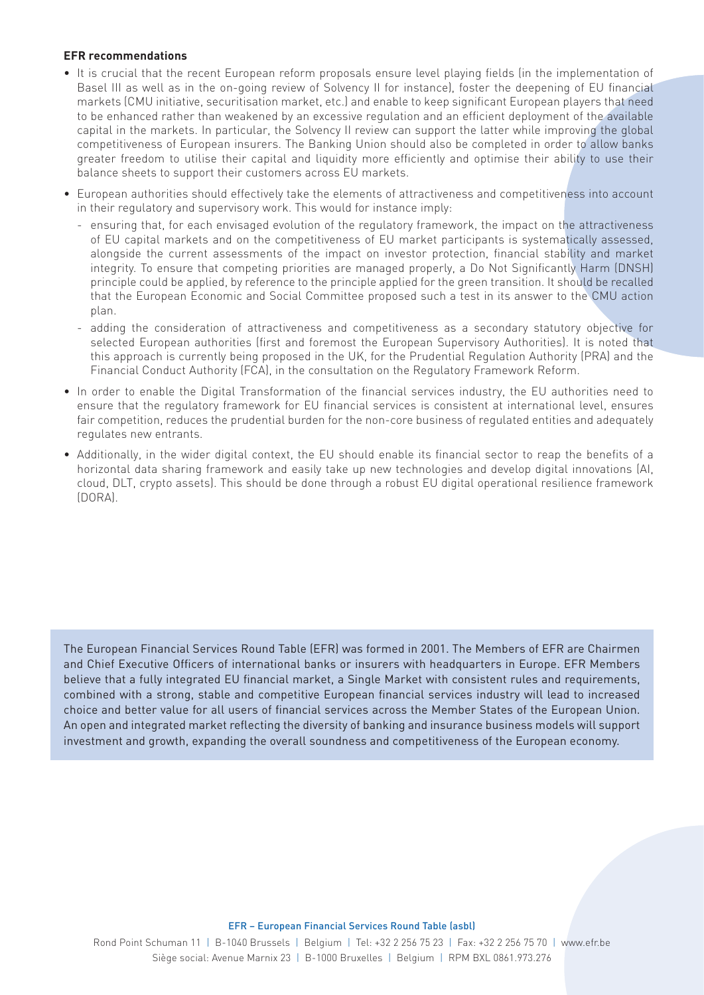#### **EFR recommendations**

- It is crucial that the recent European reform proposals ensure level playing fields (in the implementation of Basel III as well as in the on-going review of Solvency II for instance), foster the deepening of EU financial markets (CMU initiative, securitisation market, etc.) and enable to keep significant European players that need to be enhanced rather than weakened by an excessive regulation and an efficient deployment of the available capital in the markets. In particular, the Solvency II review can support the latter while improving the global competitiveness of European insurers. The Banking Union should also be completed in order to allow banks greater freedom to utilise their capital and liquidity more efficiently and optimise their ability to use their balance sheets to support their customers across EU markets.
- European authorities should effectively take the elements of attractiveness and competitiveness into account in their regulatory and supervisory work. This would for instance imply:
	- ensuring that, for each envisaged evolution of the regulatory framework, the impact on the attractiveness of EU capital markets and on the competitiveness of EU market participants is systematically assessed, alongside the current assessments of the impact on investor protection, financial stability and market integrity. To ensure that competing priorities are managed properly, a Do Not Significantly Harm (DNSH) principle could be applied, by reference to the principle applied for the green transition. It should be recalled that the European Economic and Social Committee proposed such a test in its answer to the CMU action plan.
	- adding the consideration of attractiveness and competitiveness as a secondary statutory objective for selected European authorities (first and foremost the European Supervisory Authorities). It is noted that this approach is currently being proposed in the UK, for the Prudential Regulation Authority (PRA) and the Financial Conduct Authority (FCA), in the consultation on the Regulatory Framework Reform.
- In order to enable the Digital Transformation of the financial services industry, the EU authorities need to ensure that the regulatory framework for EU financial services is consistent at international level, ensures fair competition, reduces the prudential burden for the non-core business of regulated entities and adequately regulates new entrants.
- Additionally, in the wider digital context, the EU should enable its financial sector to reap the benefits of a horizontal data sharing framework and easily take up new technologies and develop digital innovations (AI, cloud, DLT, crypto assets). This should be done through a robust EU digital operational resilience framework (DORA).

The European Financial Services Round Table (EFR) was formed in 2001. The Members of EFR are Chairmen and Chief Executive Officers of international banks or insurers with headquarters in Europe. EFR Members believe that a fully integrated EU financial market, a Single Market with consistent rules and requirements, combined with a strong, stable and competitive European financial services industry will lead to increased choice and better value for all users of financial services across the Member States of the European Union. An open and integrated market reflecting the diversity of banking and insurance business models will support investment and growth, expanding the overall soundness and competitiveness of the European economy.

#### EFR – European Financial Services Round Table (asbl)

Rond Point Schuman 11 | B-1040 Brussels | Belgium | Tel: +32 2 256 75 23 | Fax: +32 2 256 75 70 | www.efr.be Siège social: Avenue Marnix 23 | B-1000 Bruxelles | Belgium | RPM BXL 0861.973.276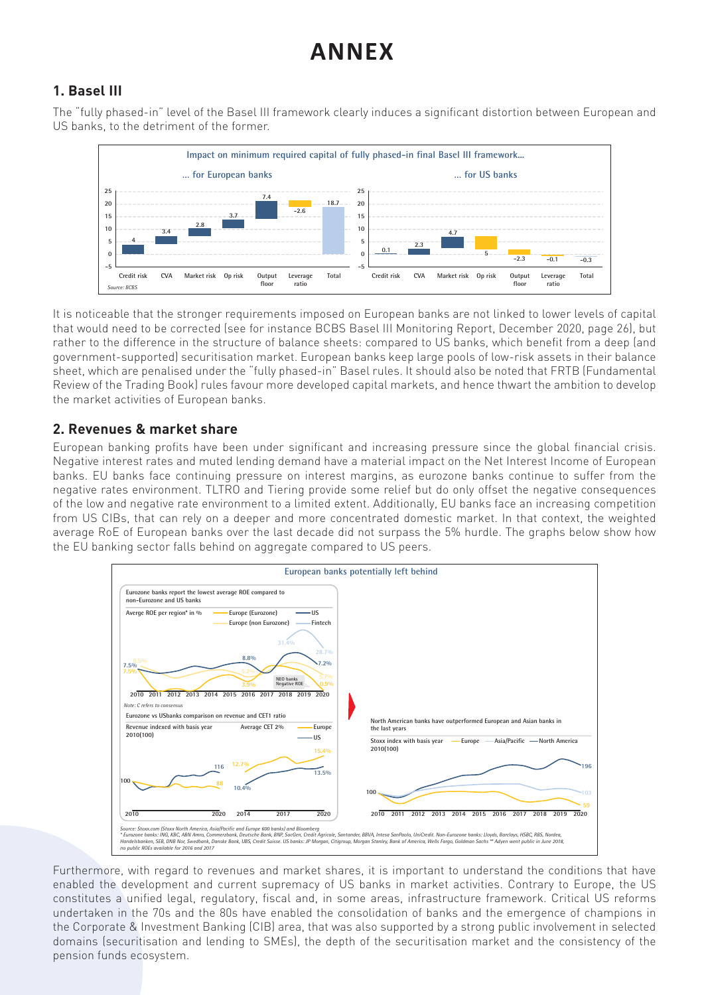# **ANNEX**

#### **1. Basel III** The "fully phased-in" level of the Basel III framework clearly induces a significant distortion between

The "fully phased-in" level of the Basel III framework clearly induces a significant distortion between European and US banks, to the detriment of the former.



It is noticeable that the stronger requirements imposed on European banks are not linked to lower levels of capital It is noticeable that the stronger requirements imposed on European banks are not linked to lower levels of that would need to be corrected (see for instance BCBS Basel III Monitoring Report, December 2020, page 26), but rather to the difference in the structure of balance sheets: compared to US banks, which benefit from a deep (and government-supported) securitisation market. European banks keep large pools of low-risk assets in their balance from a deep (and government-supported) securitisation market. European banks keep large pools of low-risk sheet, which are penalised under the "fully phased-in" Basel rules. It should also be noted that FRTB (Fundamental assets in their balance sheet, which are penalised under the "fully phased-in" Basel rules. It should also be Review of the Trading Book) rules favour more developed capital markets, and hence thwart the ambition to develop<br>... the market activities of European banks.

# **2. Revenues & market share** 2. Revenues & market share

European banking profits have been under significant and increasing pressure since the global financial crisis. Negative interest rates and muted lending demand have a material impact on the Net Interest Income of European European banking profits have been under significant and increasing pressure since the global financial crisis. banks. EU banks face continuing pressure on interest margins, as eurozone banks continue to suffer from the negative rates environment. TLTRO and Tiering provide some relief but do only offset the negative consequences of the low and negative rate environment to a limited extent. Additionally, EU banks face an increasing competition<br>. from US CIBs, that can rely on a deeper and more concentrated domestic market. In that context, the weighted  $\overline{C}$ average RoE of European banks over the last decade did not surpass the 5% hurdle. The graphs below show how increasing competition from US CIBs, that can rely on a deeper and more concentrated domestic market. In the EU banking sector falls behind on aggregate compared to US peers.



Furthermore, with regard to revenues and market shares, it is important to understand the conditions that have enabled the development and current supremacy of US banks in market activities. Contrary to Europe, the US constitutes a unified legal, regulatory, fiscal and, in some areas, infrastructure framework. Critical US reforms undertaken in the 70s and the 80s have enabled the consolidation of banks and the emergence of champions in the Corporate & Investment Banking (CIB) area, that was also supported by a strong public involvement in selected domains (securitisation and lending to SMEs), the depth of the securitisation market and the consistency of the pension funds ecosystem.